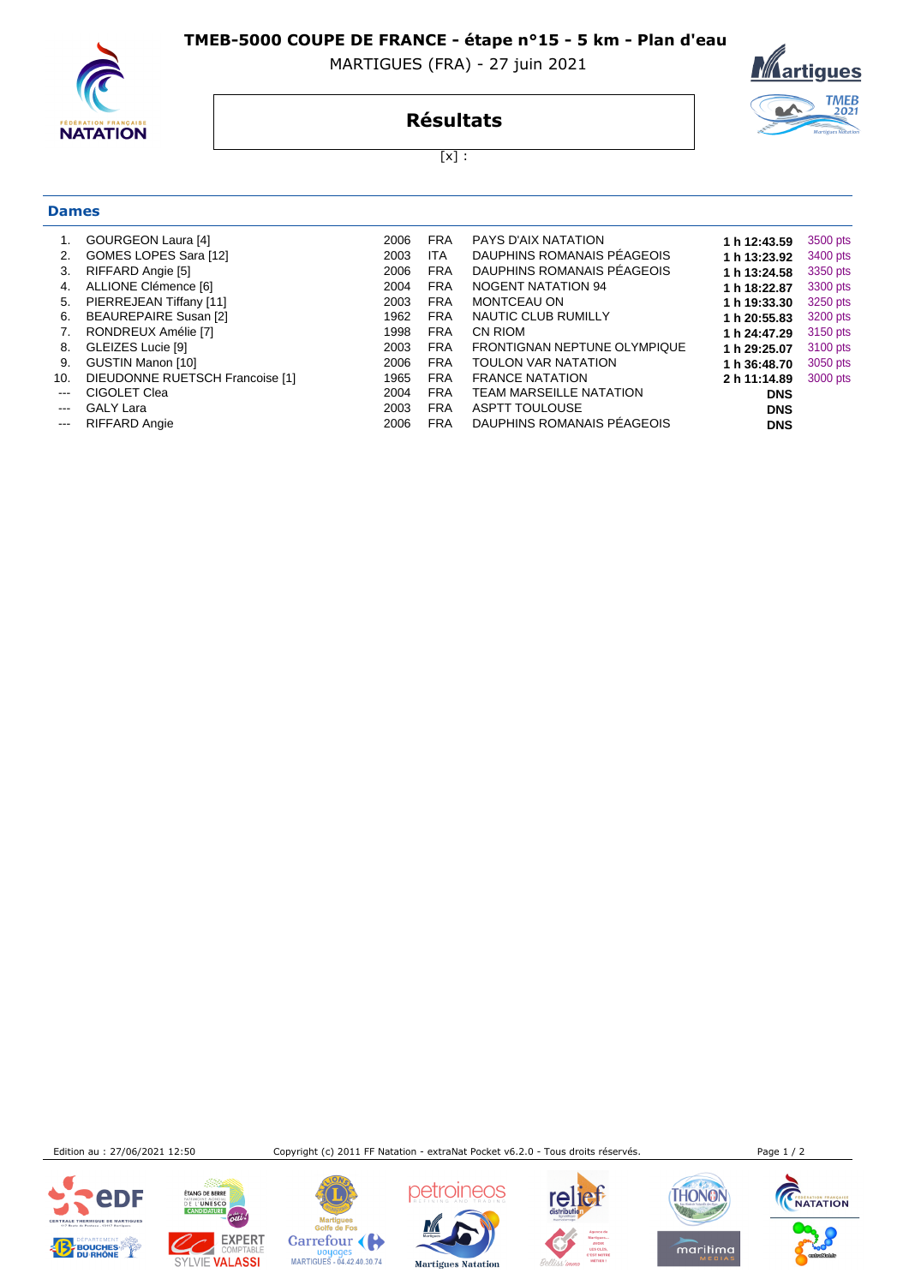**TMEB-5000 COUPE DE FRANCE - étape n°15 - 5 km - Plan d'eau** 

MARTIGUES (FRA) - 27 juin 2021



**Dames**

## <u>Martigues</u> TMEB<br>2021

**Résultats**

 $[x]$  :

| 1.                     | <b>GOURGEON Laura [4]</b>       | 2006 | <b>FRA</b> | <b>PAYS D'AIX NATATION</b>     | 1 h 12:43.59 | 3500 pts |
|------------------------|---------------------------------|------|------------|--------------------------------|--------------|----------|
| 2.                     | GOMES LOPES Sara [12]           | 2003 | <b>ITA</b> | DAUPHINS ROMANAIS PÉAGEOIS     | 1 h 13:23.92 | 3400 pts |
| 3.                     | RIFFARD Angie [5]               | 2006 | <b>FRA</b> | DAUPHINS ROMANAIS PÉAGEOIS     | 1 h 13:24.58 | 3350 pts |
| 4.                     | ALLIONE Clémence [6]            | 2004 | <b>FRA</b> | <b>NOGENT NATATION 94</b>      | 1 h 18:22.87 | 3300 pts |
| 5.                     | PIERREJEAN Tiffany [11]         | 2003 | <b>FRA</b> | MONTCEAU ON                    | 1 h 19:33.30 | 3250 pts |
| 6.                     | BEAUREPAIRE Susan [2]           | 1962 | <b>FRA</b> | NAUTIC CLUB RUMILLY            | 1 h 20:55.83 | 3200 pts |
| 7.                     | RONDREUX Amélie [7]             | 1998 | <b>FRA</b> | CN RIOM                        | 1 h 24:47.29 | 3150 pts |
| 8.                     | GLEIZES Lucie [9]               | 2003 | <b>FRA</b> | FRONTIGNAN NEPTUNE OLYMPIQUE   | 1 h 29:25.07 | 3100 pts |
| 9.                     | GUSTIN Manon [10]               | 2006 | <b>FRA</b> | <b>TOULON VAR NATATION</b>     | 1 h 36:48.70 | 3050 pts |
| 10.                    | DIEUDONNE RUETSCH Francoise [1] | 1965 | <b>FRA</b> | <b>FRANCE NATATION</b>         | 2 h 11:14.89 | 3000 pts |
| $\frac{1}{2}$          | CIGOLET Clea                    | 2004 | <b>FRA</b> | <b>TEAM MARSEILLE NATATION</b> | <b>DNS</b>   |          |
| $\frac{1}{2}$          | <b>GALY Lara</b>                | 2003 | <b>FRA</b> | <b>ASPTT TOULOUSE</b>          | <b>DNS</b>   |          |
| $\qquad \qquad \cdots$ | <b>RIFFARD Angie</b>            | 2006 | <b>FRA</b> | DAUPHINS ROMANAIS PÉAGEOIS     | <b>DNS</b>   |          |
|                        |                                 |      |            |                                |              |          |

Edition au : 27/06/2021 12:50 Copyright (c) 2011 FF Natation - extraNat Pocket v6.2.0 - Tous droits réservés. Page 1 / 2





Martigues<br>Golfe de Fos Carrefour

Doyages<br>MARTIGUES - 04.42.40.30.74